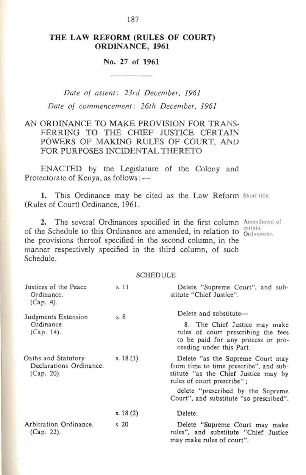### THE LAW REFORM (RULES OF COURT) ORDINANCE, 1961

### No. 27 of 1961

*Date of assent: 23ra December, 1961 Date of commencement: 26th December, 1961* 

### AN ORDINANCE TO MAKE PROVISION FOR TRANS-FERRING TO THE CHIEF JUSTICE CERTAIN POWERS OF MAKING RULES OF COURT, AND FOR PURPOSES INCIDENTAL THERETO

ENACTED by the Legislature of the Colony and Protectorate of Kenya, as follows: -

1. This Ordinance may be cited as the Law Reform Short title. (Rules of Court) Ordinance, 1961.

2. The several Ordinances specified in the first column Amendment of of the Schedule to this Ordinance are amended, in relation to *Certain* ordinances. the provisions thereof specified in the second column, in the manner respectively specified in the third column, of such Schedule.

#### SCHEDULE

| Justices of the Peace<br>Ordinance.<br>(Cap. 4).                | s.11       | Delete "Supreme Court", and sub-<br>stitute "Chief Justice".                                                                                                     |
|-----------------------------------------------------------------|------------|------------------------------------------------------------------------------------------------------------------------------------------------------------------|
| Judgments Extension<br>Ordinance.<br>$(Cap. 14)$ .              | s.8        | Delete and substitute-<br>8. The Chief Justice may make<br>rules of court prescribing the fees<br>to be paid for any process or pro-<br>ceeding under this Part. |
| Oaths and Statutory<br>Declarations Ordinance.<br>$(Cap. 20)$ . | s. $18(1)$ | Delete "as the Supreme Court may<br>from time to time prescribe", and sub-<br>stitute "as the Chief Justice may by<br>rules of court prescribe";                 |
|                                                                 |            | delete "prescribed by the Supreme"<br>Court", and substitute "so prescribed".                                                                                    |
|                                                                 | s. 18(2)   | Delete.                                                                                                                                                          |
| Arbitration Ordinance.<br>$(Cap. 22)$ .                         | s.20       | Delete "Supreme Court may make<br>rules", and substitute "Chief Justice<br>may make rules of court".                                                             |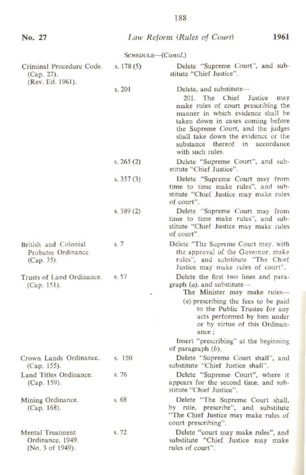| No. 27                                                          |                   | 1961<br>Law Reform (Rules of Court)                                                                                                                                                                                                                                                                          |
|-----------------------------------------------------------------|-------------------|--------------------------------------------------------------------------------------------------------------------------------------------------------------------------------------------------------------------------------------------------------------------------------------------------------------|
|                                                                 | SCHEDULE-(Contd.) |                                                                                                                                                                                                                                                                                                              |
| Criminal Procedure Code.<br>(Cap. 27).<br>(Rev. Ed. 1961).      | s. 178(5)         | Delete "Supreme Court", and sub-<br>stitute "Chief Justice".                                                                                                                                                                                                                                                 |
|                                                                 | s. 201            | Delete, and substitute-<br>201. The Chief Justice<br>may<br>make rules of court prescribing the<br>manner in which evidence shall be<br>taken down in cases coming before<br>the Supreme Court, and the judges<br>shall take down the evidence or the<br>substance thereof in accordance<br>with such rules. |
|                                                                 | s. $265(2)$       | Delete "Supreme Court", and sub-<br>stitute "Chief Justice".                                                                                                                                                                                                                                                 |
|                                                                 | s. $357(3)$       | Delete "Supreme Court may from<br>time to time make rules", and sub-<br>stitute "Chief Justice may make rules<br>of court".                                                                                                                                                                                  |
|                                                                 | s. 389(2)         | Delete "Supreme Court may from<br>time to time make rules", and sub-<br>stitute "Chief Justice may make rules<br>of court".                                                                                                                                                                                  |
| British and Colonial<br>Probates Ordinance.<br>(Cap. 35).       | s.7               | Delete "The Supreme Court may, with<br>the approval of the Governor, make<br>rules", and substitute "The Chief<br>Justice may make rules of court".                                                                                                                                                          |
| Trusts of Land Ordinance.<br>(Cap. 151).                        | s.57              | Delete the first two lines and para-<br>graph $(a)$ , and substitute –<br>The Minister may make rules-                                                                                                                                                                                                       |
|                                                                 |                   | (a) prescribing the fees to be paid<br>to the Public Trustee for any<br>acts performed by him under<br>or by virtue of this Ordinan-<br>ance:                                                                                                                                                                |
|                                                                 |                   | Insert "prescribing" at the beginning<br>of paragraph $(b)$ .                                                                                                                                                                                                                                                |
| Crown Lands Ordinance.<br>(Cap. 155).                           | s. 150            | Delete "Supreme Court shall", and<br>substitute "Chief Justice shall".                                                                                                                                                                                                                                       |
| Land Titles Ordinance.<br>(Cap. 159).                           | s.76              | Delete "Supreme Court", where it<br>appears for the second time, and sub-<br>stitute "Chief Justice".                                                                                                                                                                                                        |
| Mining Ordinance.<br>$(Cap. 168)$ .                             | s.68              | Delete "The Supreme Court shall,<br>by rule, prescribe", and substitute<br>"The Chief Justice may make rules of<br>court prescribing".                                                                                                                                                                       |
| <b>Mental Treatment</b><br>Ordinance, 1949.<br>(No. 3 of 1949). | s. 72             | Delete "court may make rules", and<br>substitute "Chief Justice may make<br>rules of court".                                                                                                                                                                                                                 |